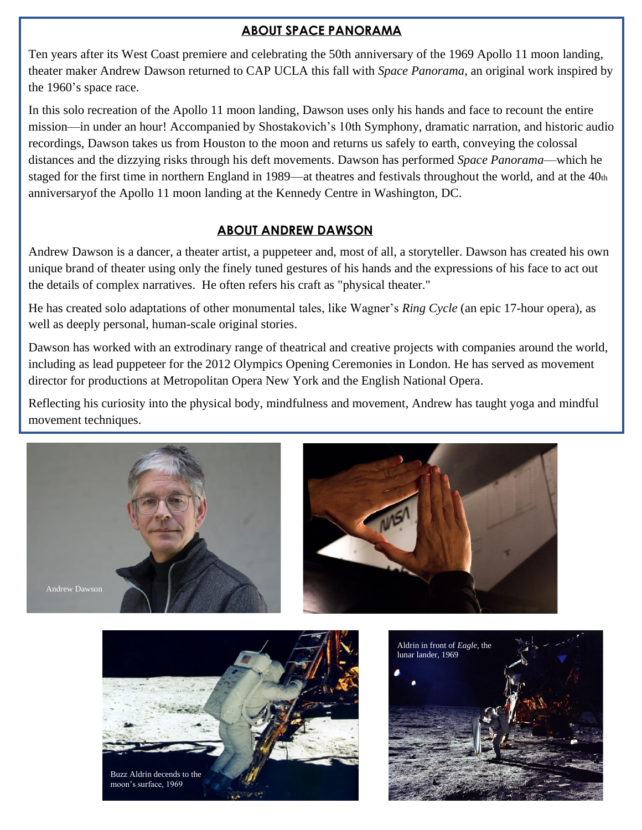## **ABOUT SPACE PANORAMA**

Ten years after its West Coast premiere and celebrating the 50th anniversary of the 1969 Apollo 11 moon landing, theater maker Andrew Dawson returned to CAP UCLA this fall with *Space Panorama*, an original work inspired by the 1960's space race.

In this solo recreation of the Apollo 11 moon landing, Dawson uses only his hands and face to recount the entire mission—in under an hour! Accompanied by Shostakovich's 10th Symphony, dramatic narration, and historic audio recordings, Dawson takes us from Houston to the moon and returns us safely to earth, conveying the colossal distances and the dizzying risks through his deft movements. Dawson has performed *Space Panorama*—which he staged for the first time in northern England in 1989—at theatres and festivals throughout the world, and at the 40th anniversaryof the Apollo 11 moon landing at the Kennedy Centre in Washington, DC.

#### **ABOUT ANDREW DAWSON**

Andrew Dawson is a dancer, a theater artist, a puppeteer and, most of all, a storyteller. Dawson has created his own unique brand of theater using only the finely tuned gestures of his hands and the expressions of his face to act out the details of complex narratives. He often refers his craft as "physical theater."

He has created solo adaptations of other monumental tales, like Wagner's *Ring Cycle* (an epic 17-hour opera), as well as deeply personal, human-scale original stories.

Dawson has worked with an extrodinary range of theatrical and creative projects with companies around the world, including as lead puppeteer for the 2012 Olympics Opening Ceremonies in London. He has served as movement director for productions at Metropolitan Opera New York and the English National Opera.

Reflecting his curiosity into the physical body, mindfulness and movement, Andrew has taught yoga and mindful movement techniques.





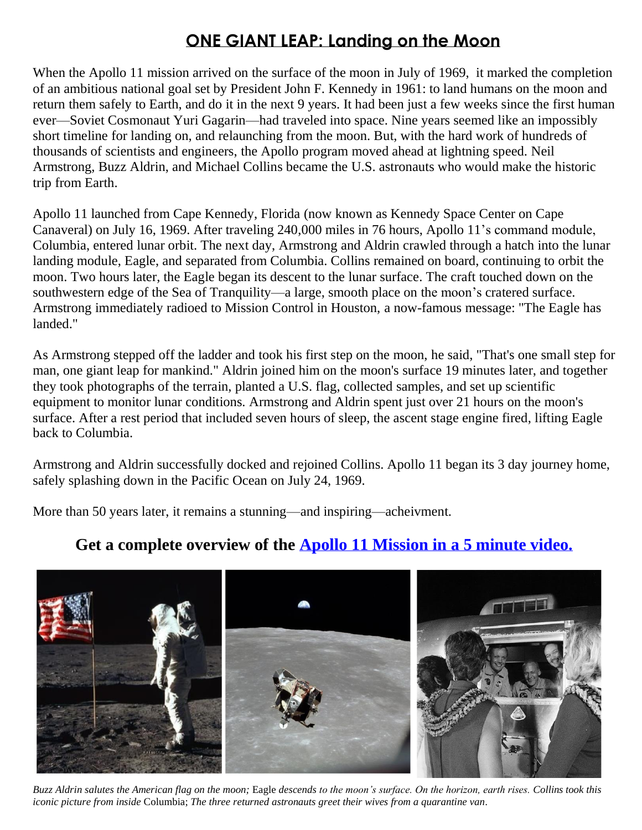# **ONE GIANT LEAP: Landing on the Moon**

When the Apollo 11 mission arrived on the surface of the moon in July of 1969, it marked the completion of an ambitious national goal set by President John F. Kennedy in 1961: to land humans on the moon and return them safely to Earth, and do it in the next 9 years. It had been just a few weeks since the first human ever—Soviet Cosmonaut Yuri Gagarin—had traveled into space. Nine years seemed like an impossibly short timeline for landing on, and relaunching from the moon. But, with the hard work of hundreds of thousands of scientists and engineers, the Apollo program moved ahead at lightning speed. Neil Armstrong, Buzz Aldrin, and Michael Collins became the U.S. astronauts who would make the historic trip from Earth.

Apollo 11 launched from Cape Kennedy, Florida (now known as Kennedy Space Center on Cape Canaveral) on July 16, 1969. After traveling 240,000 miles in 76 hours, Apollo 11's command module, Columbia, entered lunar orbit. The next day, Armstrong and Aldrin crawled through a hatch into the lunar landing module, Eagle, and separated from Columbia. Collins remained on board, continuing to orbit the moon. Two hours later, the Eagle began its descent to the lunar surface. The craft touched down on the southwestern edge of the Sea of Tranquility—a large, smooth place on the moon's cratered surface. Armstrong immediately radioed to Mission Control in Houston, a now-famous message: "The Eagle has landed."

As Armstrong stepped off the ladder and took his first step on the moon, he said, "That's one small step for man, one giant leap for mankind." Aldrin joined him on the moon's surface 19 minutes later, and together they took photographs of the terrain, planted a U.S. flag, collected samples, and set up scientific equipment to monitor lunar conditions. Armstrong and Aldrin spent just over 21 hours on the moon's surface. After a rest period that included seven hours of sleep, the ascent stage engine fired, lifting Eagle back to Columbia.

Armstrong and Aldrin successfully docked and rejoined Collins. Apollo 11 began its 3 day journey home, safely splashing down in the Pacific Ocean on July 24, 1969.

More than 50 years later, it remains a stunning—and inspiring—acheivment.



# **Get a complete overview of the [Apollo 11 Mission in a 5 minute video.](https://www.youtube.com/watch?v=OCjhCL2iqlQ)**

*Buzz Aldrin salutes the American flag on the moon;* Eagle *descends to the moon's surface. On the horizon, earth rises. Collins took this iconic picture from inside* Columbia; *The three returned astronauts greet their wives from a quarantine van.*